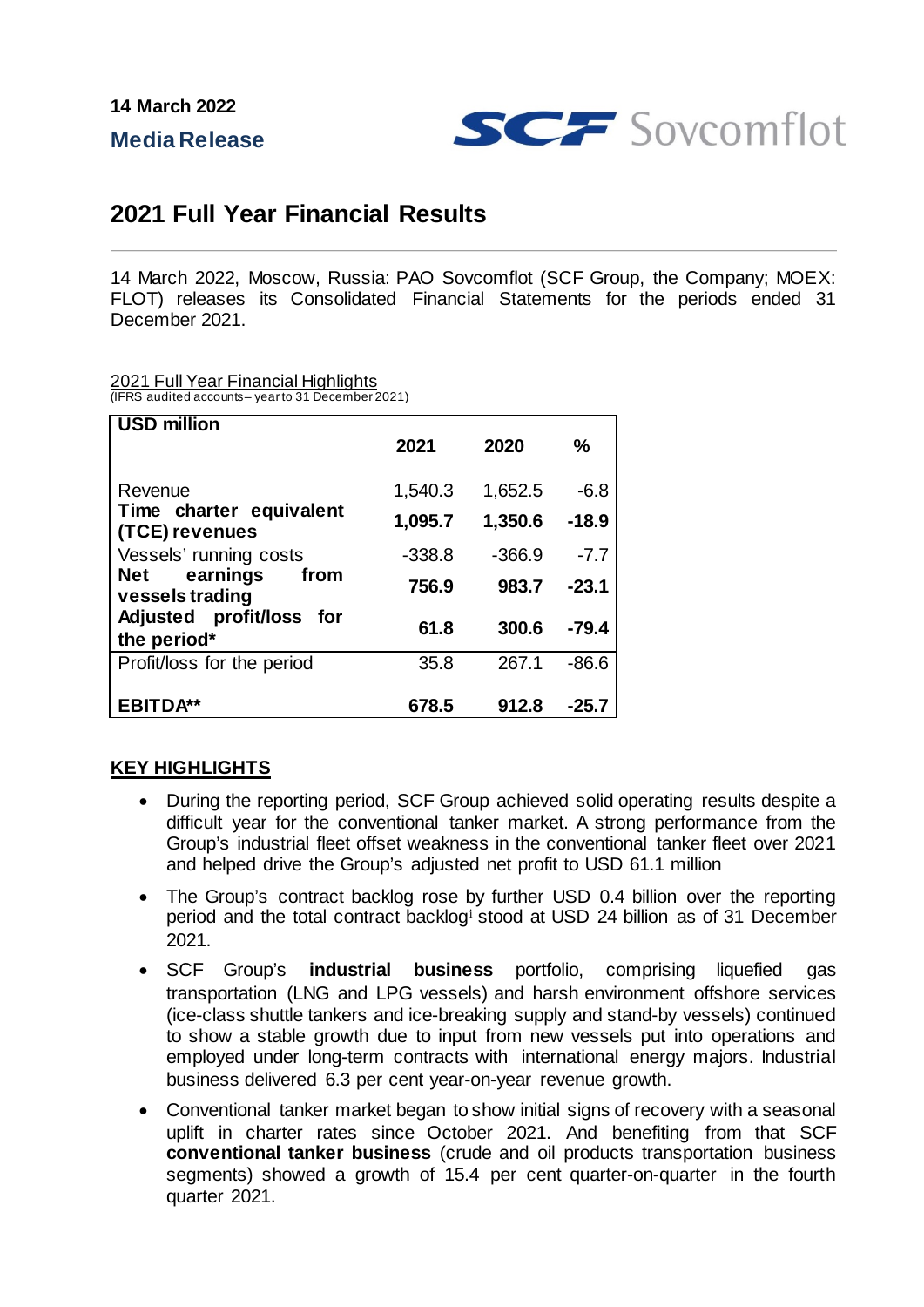**Media Release**



## **2021 Full Year Financial Results**

14 March 2022, Moscow, Russia: PAO Sovcomflot (SCF Group, the Company; MOEX: FLOT) releases its Consolidated Financial Statements for the periods ended 31 December 2021.

2021 Full Year Financial Highlights

| (IFRS audited accounts-year to 31 December 2021) |  |  |
|--------------------------------------------------|--|--|
|                                                  |  |  |

| <b>USD million</b>                         | 2021     | 2020     | $\%$    |
|--------------------------------------------|----------|----------|---------|
| Revenue                                    | 1,540.3  | 1,652.5  | $-6.8$  |
| Time charter equivalent<br>(TCE) revenues  | 1,095.7  | 1,350.6  | $-18.9$ |
| Vessels' running costs                     | $-338.8$ | $-366.9$ | $-7.7$  |
| Net<br>earnings<br>from<br>vessels trading | 756.9    | 983.7    | $-23.1$ |
| Adjusted profit/loss for<br>the period*    | 61.8     | 300.6    | -79.4   |
| Profit/loss for the period                 | 35.8     | 267.1    | $-86.6$ |
| <b>EBITDA**</b>                            | 678.5    | 912.8    | -25.7   |

## **KEY HIGHLIGHTS**

- During the reporting period, SCF Group achieved solid operating results despite a difficult year for the conventional tanker market. A strong performance from the Group's industrial fleet offset weakness in the conventional tanker fleet over 2021 and helped drive the Group's adjusted net profit to USD 61.1 million
- The Group's contract backlog rose by further USD 0.4 billion over the reporting period and the total contract backlog[i](#page-1-0) stood at USD 24 billion as of 31 December 2021.
- SCF Group's **industrial business** portfolio, comprising liquefied gas transportation (LNG and LPG vessels) and harsh environment offshore services (ice-class shuttle tankers and ice-breaking supply and stand-by vessels) continued to show a stable growth due to input from new vessels put into operations and employed under long-term contracts with international energy majors. Industrial business delivered 6.3 per cent year-on-year revenue growth.
- Conventional tanker market began to show initial signs of recovery with a seasonal uplift in charter rates since October 2021. And benefiting from that SCF **conventional tanker business** (crude and oil products transportation business segments) showed a growth of 15.4 per cent quarter-on-quarter in the fourth quarter 2021.